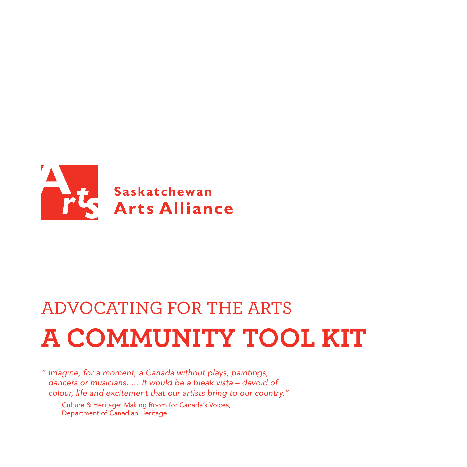

# ADVOCATING FOR THE ARTS **A COMMUNITY TOOL KIT**

*" Imagine, for a moment, a Canada without plays, paintings, dancers or musicians. … It would be a bleak vista – devoid of colour, life and excitement that our artists bring to our country."*

Culture & Heritage: Making Room for Canada's Voices, Department of Canadian Heritage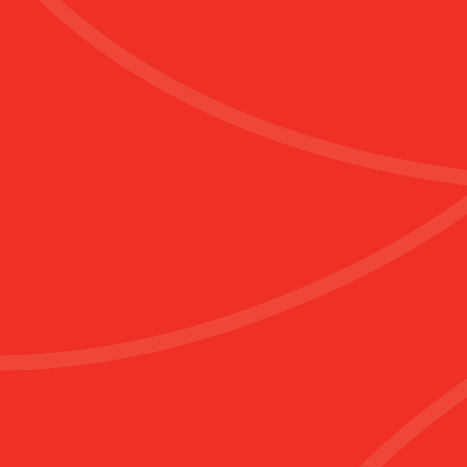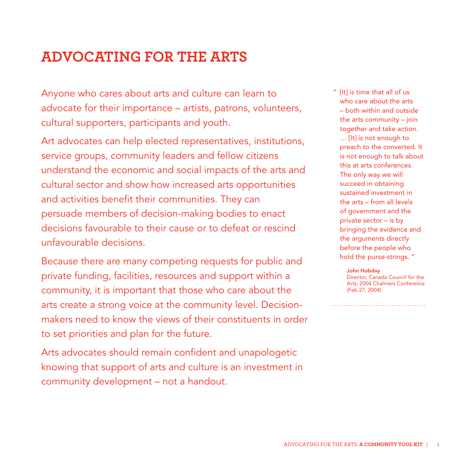# **ADVOCATING FOR THE ARTS**

Anyone who cares about arts and culture can learn to advocate for their importance – artists, patrons, volunteers, cultural supporters, participants and youth.

Art advocates can help elected representatives, institutions, service groups, community leaders and fellow citizens understand the economic and social impacts of the arts and cultural sector and show how increased arts opportunities and activities benefit their communities. They can persuade members of decision-making bodies to enact decisions favourable to their cause or to defeat or rescind unfavourable decisions.

Because there are many competing requests for public and private funding, facilities, resources and support within a community, it is important that those who care about the arts create a strong voice at the community level. Decisionmakers need to know the views of their constituents in order to set priorities and plan for the future.

Arts advocates should remain confident and unapologetic knowing that support of arts and culture is an investment in community development – not a handout.

" [It] is time that all of us who care about the arts – both within and outside the arts community – join together and take action. … [It] is not enough to preach to the converted. It is not enough to talk about this at arts conferences. The only way we will succeed in obtaining sustained investment in the arts – from all levels of government and the private sector – is by bringing the evidence and the arguments directly before the people who hold the purse-strings. "

John Hobday

Director, Canada Council for the Arts, 2004 Chalmers Conference (Feb 27, 2004)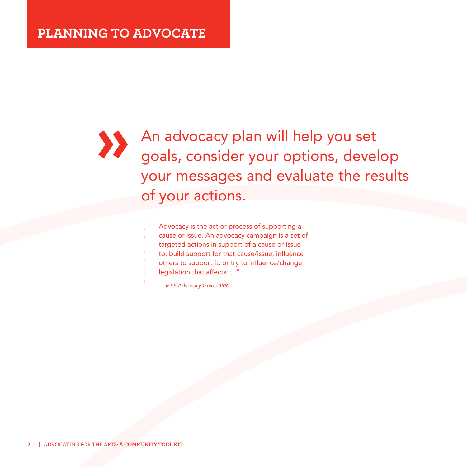An advocacy plan will help you set An auvocacy processes. your messages and evaluate the results of your actions.

> Advocacy is the act or process of supporting a cause or issue. An advocacy campaign is a set of targeted actions in support of a cause or issue to: build support for that cause/issue, influence others to support it, or try to influence/change legislation that affects it. "

*IPPF Advocacy Guide 1995*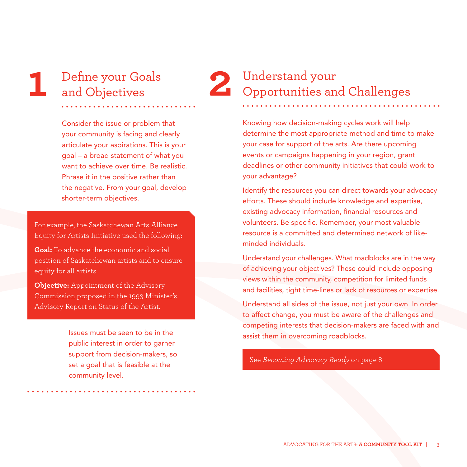## **1** Define your Goals and Objectives

Consider the issue or problem that your community is facing and clearly articulate your aspirations. This is your goal – a broad statement of what you want to achieve over time. Be realistic. Phrase it in the positive rather than the negative. From your goal, develop shorter-term objectives.

For example, the Saskatchewan Arts Alliance Equity for Artists Initiative used the following:

**Goal:** To advance the economic and social position of Saskatchewan artists and to ensure equity for all artists.

**Objective:** Appointment of the Advisory Commission proposed in the 1993 Minister's Advisory Report on Status of the Artist.

> Issues must be seen to be in the public interest in order to garner support from decision-makers, so set a goal that is feasible at the community level.

# 2 Understand your<br>Opportunities an Opportunities and Challenges

Knowing how decision-making cycles work will help determine the most appropriate method and time to make your case for support of the arts. Are there upcoming events or campaigns happening in your region, grant deadlines or other community initiatives that could work to your advantage?

Identify the resources you can direct towards your advocacy efforts. These should include knowledge and expertise, existing advocacy information, financial resources and volunteers. Be specific. Remember, your most valuable resource is a committed and determined network of likeminded individuals.

Understand your challenges. What roadblocks are in the way of achieving your objectives? These could include opposing views within the community, competition for limited funds and facilities, tight time-lines or lack of resources or expertise.

Understand all sides of the issue, not just your own. In order to affect change, you must be aware of the challenges and competing interests that decision-makers are faced with and assist them in overcoming roadblocks.

See *Becoming Advocacy-Ready* on page 8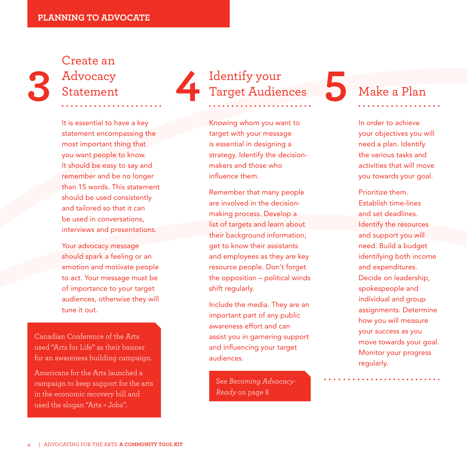

## Create an Advocacy Statement

It is essential to have a key statement encompassing the most important thing that you want people to know. It should be easy to say and remember and be no longer than 15 words. This statement should be used consistently and tailored so that it can be used in conversations, interviews and presentations.

Your advocacy message should spark a feeling or an emotion and motivate people to act. Your message must be of importance to your target audiences, otherwise they will tune it out.

Canadian Conference of the Arts used "Arts for Life" as their banner for an awareness building campaign.

Americans for the Arts launched a campaign to keep support for the arts in the economic recovery bill and used the slogan "Arts = Jobs".



Knowing whom you want to target with your message is essential in designing a strategy. Identify the decisionmakers and those who influence them.

Remember that many people are involved in the decisionmaking process. Develop a list of targets and learn about their background information; get to know their assistants and employees as they are key resource people. Don't forget the opposition – political winds shift regularly.

Include the media. They are an important part of any public awareness effort and can assist you in garnering support and influencing your target audiences.

See *Becoming Advocacy-Ready* on page 8

# **5** Make a Plan

In order to achieve your objectives you will need a plan. Identify the various tasks and activities that will move you towards your goal.

Prioritize them. Establish time-lines and set deadlines. Identify the resources and support you will need. Build a budget identifying both income and expenditures. Decide on leadership, spokespeople and individual and group assignments. Determine how you will measure your success as you move towards your goal. Monitor your progress regularly.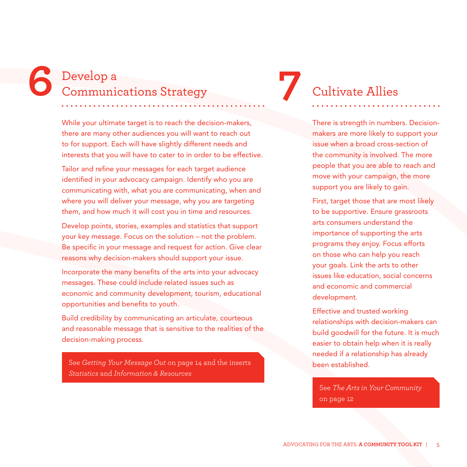# **6** Develop a Communications Strategy

While your ultimate target is to reach the decision-makers, there are many other audiences you will want to reach out to for support. Each will have slightly different needs and interests that you will have to cater to in order to be effective.

Tailor and refine your messages for each target audience identified in your advocacy campaign. Identify who you are communicating with, what you are communicating, when and where you will deliver your message, why you are targeting them, and how much it will cost you in time and resources.

Develop points, stories, examples and statistics that support your key message. Focus on the solution – not the problem. Be specific in your message and request for action. Give clear reasons why decision-makers should support your issue.

Incorporate the many benefits of the arts into your advocacy messages. These could include related issues such as economic and community development, tourism, educational opportunities and benefits to youth.

Build credibility by communicating an articulate, courteous and reasonable message that is sensitive to the realities of the decision-making process.

See *Getting Your Message Out* on page 14 and the inserts *Statistics* and *Information & Resources*

# **7** Cultivate Allies

There is strength in numbers. Decisionmakers are more likely to support your issue when a broad cross-section of the community is involved. The more people that you are able to reach and move with your campaign, the more support you are likely to gain.

First, target those that are most likely to be supportive. Ensure grassroots arts consumers understand the importance of supporting the arts programs they enjoy. Focus efforts on those who can help you reach your goals. Link the arts to other issues like education, social concerns and economic and commercial development.

Effective and trusted working relationships with decision-makers can build goodwill for the future. It is much easier to obtain help when it is really needed if a relationship has already been established.

See *The Arts in Your Community* on page 12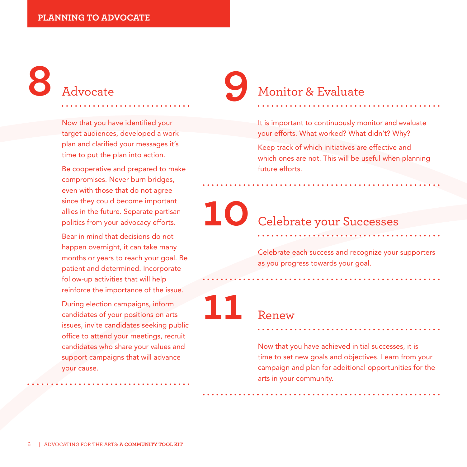# **8** Advocate

Now that you have identified your target audiences, developed a work plan and clarified your messages it's time to put the plan into action.

Be cooperative and prepared to make compromises. Never burn bridges, even with those that do not agree since they could become important allies in the future. Separate partisan politics from your advocacy efforts.

Bear in mind that decisions do not happen overnight, it can take many months or years to reach your goal. Be patient and determined. Incorporate follow-up activities that will help reinforce the importance of the issue.

During election campaigns, inform candidates of your positions on arts issues, invite candidates seeking public office to attend your meetings, recruit candidates who share your values and support campaigns that will advance your cause.

# **9** Monitor & Evaluate

It is important to continuously monitor and evaluate your efforts. What worked? What didn't? Why?

Keep track of which initiatives are effective and which ones are not. This will be useful when planning future efforts.

# **10** Celebrate your Successes

Celebrate each success and recognize your supporters as you progress towards your goal.

# **11** Renew

Now that you have achieved initial successes, it is time to set new goals and objectives. Learn from your campaign and plan for additional opportunities for the arts in your community.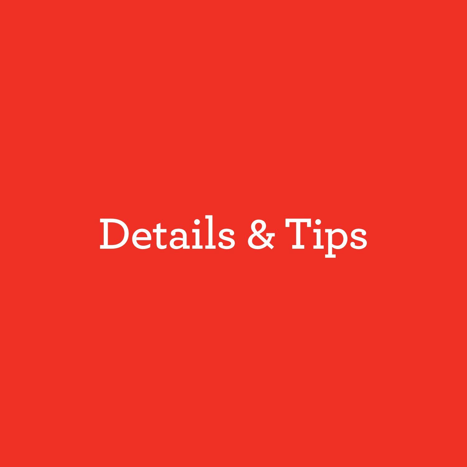# **Details & Tips**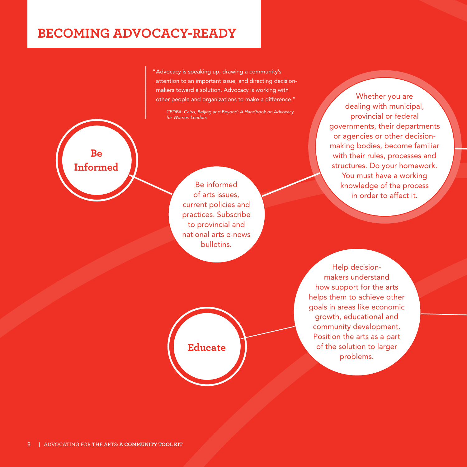#### **BECOMING ADVOCACY-READY**

"Advocacy is speaking up, drawing a community's attention to an important issue, and directing decisionmakers toward a solution. Advocacy is working with other people and organizations to make a difference."

*CEDPA: Cairo, Beijing and Beyond: A Handbook on Advocacy for Women Leaders*

> Be informed of arts issues, current policies and practices. Subscribe to provincial and national arts e-news bulletins.

Whether you are dealing with municipal, provincial or federal governments, their departments or agencies or other decisionmaking bodies, become familiar with their rules, processes and structures. Do your homework. You must have a working knowledge of the process in order to affect it.



Help decisionmakers understand how support for the arts helps them to achieve other goals in areas like economic growth, educational and community development. Position the arts as a part of the solution to larger problems.

**Educate**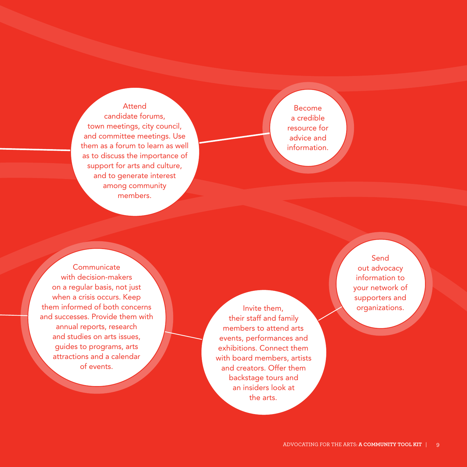Attend candidate forums, town meetings, city council, and committee meetings. Use them as a forum to learn as well as to discuss the importance of support for arts and culture, and to generate interest among community members.

Become a credible resource for advice and information.

**Communicate** with decision-makers on a regular basis, not just when a crisis occurs. Keep them informed of both concerns and successes. Provide them with annual reports, research and studies on arts issues, guides to programs, arts attractions and a calendar of events.

Invite them, their staff and family members to attend arts events, performances and exhibitions. Connect them with board members, artists and creators. Offer them backstage tours and an insiders look at the arts.

Send out advocacy information to your network of supporters and organizations.

ADVOCATING FOR THE ARTS: **A COMMUNITY TOOL KIT** | 9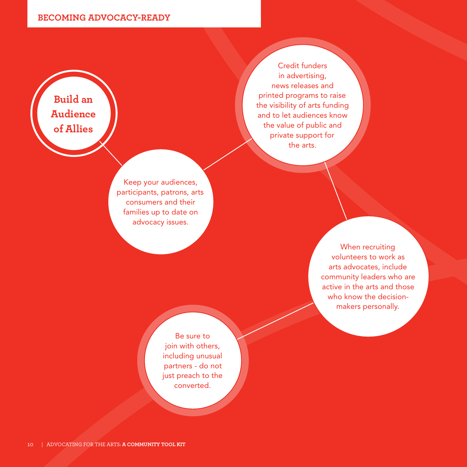# **Build an Audience of Allies**

Keep your audiences, participants, patrons, arts consumers and their families up to date on advocacy issues.

Credit funders in advertising, news releases and printed programs to raise the visibility of arts funding and to let audiences know the value of public and private support for the arts.

> When recruiting volunteers to work as arts advocates, include community leaders who are active in the arts and those who know the decisionmakers personally.

Be sure to join with others, including unusual partners - do not just preach to the converted.

10 | ADVOCATING FOR THE ARTS: **A COMMUNITY TOOL KIT**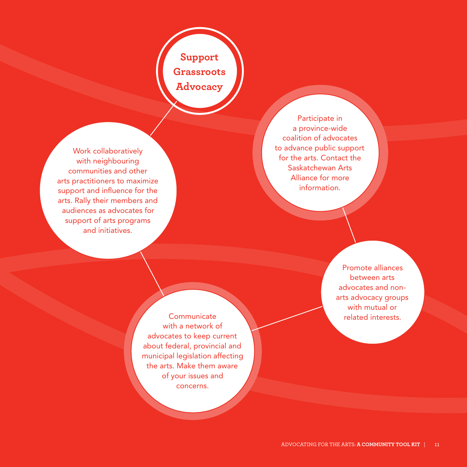# **Support Grassroots Advocacy**

Work collaboratively with neighbouring communities and other arts practitioners to maximize support and influence for the arts. Rally their members and audiences as advocates for support of arts programs and initiatives.

Participate in a province-wide coalition of advocates to advance public support for the arts. Contact the Saskatchewan Arts Alliance for more information.

**Communicate** with a network of advocates to keep current about federal, provincial and municipal legislation affecting the arts. Make them aware of your issues and concerns.

Promote alliances between arts advocates and nonarts advocacy groups with mutual or related interests.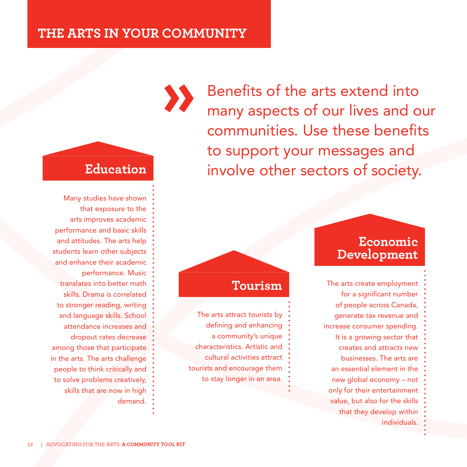#### **THE ARTS IN YOUR COMMUNITY**

X

Benefits of the arts extend into many aspects of our lives and our communities. Use these benefits to support your messages and involve other sectors of society.

#### **Economic Development**

The arts create employment for a significant number of people across Canada, generate tax revenue and increase consumer spending. It is a growing sector that creates and attracts new businesses. The arts are an essential element in the new global economy – not only for their entertainment value, but also for the skills that they develop within individuals.

#### **Tourism**

The arts attract tourists by defining and enhancing a community's unique characteristics. Artistic and cultural activities attract tourists and encourage them to stay longer in an area.

#### **Education**

Many studies have shown that exposure to the arts improves academic performance and basic skills and attitudes. The arts help students learn other subjects and enhance their academic performance. Music translates into better math skills. Drama is correlated to stronger reading, writing and language skills. School attendance increases and dropout rates decrease among those that participate in the arts. The arts challenge people to think critically and to solve problems creatively, skills that are now in high demand.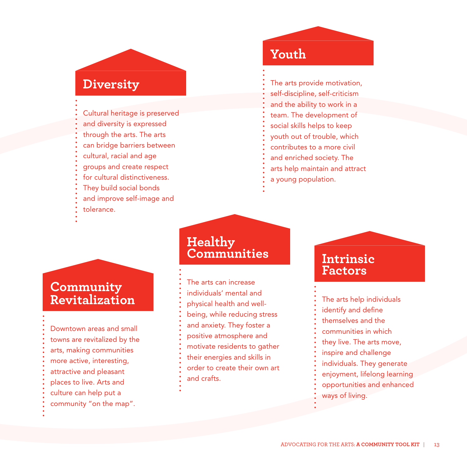#### **Diversity**

Cultural heritage is preserved and diversity is expressed through the arts. The arts can bridge barriers between cultural, racial and age groups and create respect for cultural distinctiveness. They build social bonds and improve self-image and tolerance.

## **Youth**

The arts provide motivation, self-discipline, self-criticism and the ability to work in a team. The development of social skills helps to keep youth out of trouble, which contributes to a more civil and enriched society. The arts help maintain and attract a young population.

#### **Community Revitalization**

Downtown areas and small towns are revitalized by the arts, making communities more active, interesting, attractive and pleasant places to live. Arts and culture can help put a community "on the map".

#### **Healthy Communities**

The arts can increase individuals' mental and physical health and wellbeing, while reducing stress and anxiety. They foster a positive atmosphere and motivate residents to gather their energies and skills in order to create their own art and crafts.

#### **Intrinsic Factors**

The arts help individuals identify and define themselves and the communities in which they live. The arts move, inspire and challenge individuals. They generate enjoyment, lifelong learning opportunities and enhanced ways of living.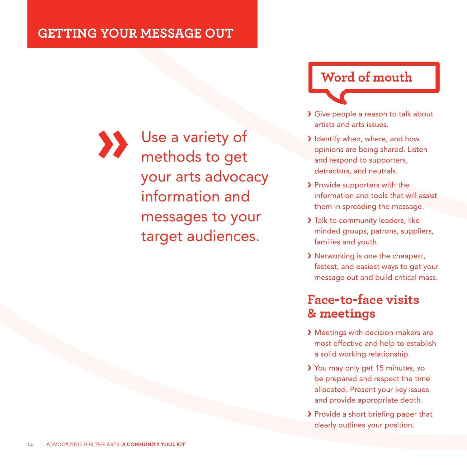#### **GETTING YOUR MESSAGE OUT**



Use a variety of methods to get your arts advocacy information and messages to your target audiences.

# **Word of mouth**

- > Give people a reason to talk about artists and arts issues.
- > Identify when, where, and how opinions are being shared. Listen and respond to supporters, detractors, and neutrals.
- > Provide supporters with the information and tools that will assist them in spreading the message.
- > Talk to community leaders, likeminded groups, patrons, suppliers, families and youth.
- **>** Networking is one the cheapest, fastest, and easiest ways to get your message out and build critical mass.

## **Face-to-face visits & meetings**

- > Meetings with decision-makers are most effective and help to establish a solid working relationship.
- � You may only get 15 minutes, so be prepared and respect the time allocated. Present your key issues and provide appropriate depth.
- > Provide a short briefing paper that clearly outlines your position.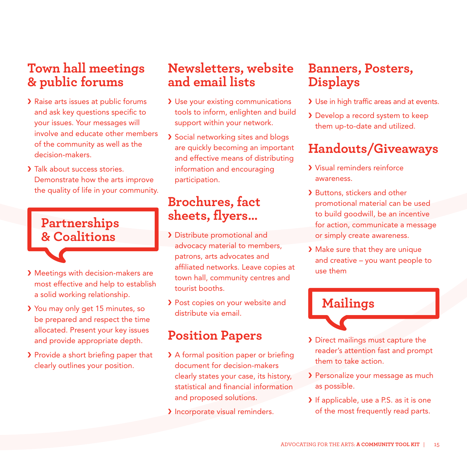## **Town hall meetings & public forums**

- > Raise arts issues at public forums and ask key questions specific to your issues. Your messages will involve and educate other members of the community as well as the decision-makers.
- > Talk about success stories. Demonstrate how the arts improve the quality of life in your community.

#### **Partnerships & Coalitions**

- > Meetings with decision-makers are most effective and help to establish a solid working relationship.
- � You may only get 15 minutes, so be prepared and respect the time allocated. Present your key issues and provide appropriate depth.
- **>** Provide a short briefing paper that clearly outlines your position.

## **Newsletters, website and email lists**

- > Use your existing communications tools to inform, enlighten and build support within your network.
- > Social networking sites and blogs are quickly becoming an important and effective means of distributing information and encouraging participation.

## **Brochures, fact sheets, flyers…**

- > Distribute promotional and advocacy material to members, patrons, arts advocates and affiliated networks. Leave copies at town hall, community centres and tourist booths.
- > Post copies on your website and distribute via email.

# **Position Papers**

- > A formal position paper or briefing document for decision-makers clearly states your case, its history, statistical and financial information and proposed solutions.
- > Incorporate visual reminders.

## **Banners, Posters, Displays**

- > Use in high traffic areas and at events.
- > Develop a record system to keep them up-to-date and utilized.

# **Handouts/Giveaways**

- **Y** Visual reminders reinforce awareness.
- > Buttons, stickers and other promotional material can be used to build goodwill, be an incentive for action, communicate a message or simply create awareness.
- > Make sure that they are unique and creative – you want people to use them

# **Mailings**

- > Direct mailings must capture the reader's attention fast and prompt them to take action.
- > Personalize your message as much as possible.
- If applicable, use a P.S. as it is one of the most frequently read parts.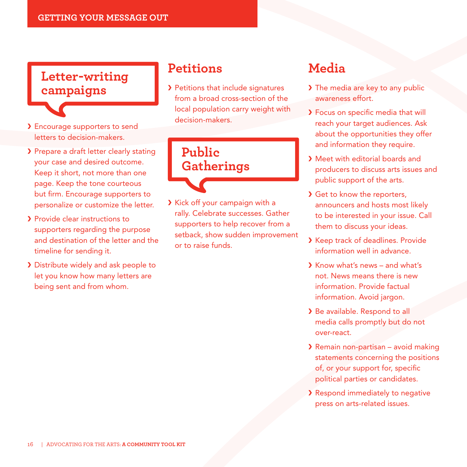## **Letter-writing campaigns**

- > Encourage supporters to send letters to decision-makers.
- > Prepare a draft letter clearly stating your case and desired outcome. Keep it short, not more than one page. Keep the tone courteous but firm. Encourage supporters to personalize or customize the letter.
- > Provide clear instructions to supporters regarding the purpose and destination of the letter and the timeline for sending it.
- **>** Distribute widely and ask people to let you know how many letters are being sent and from whom.

## **Petitions**

> Petitions that include signatures from a broad cross-section of the local population carry weight with decision-makers.

**Public Gatherings**

> Kick off your campaign with a rally. Celebrate successes. Gather supporters to help recover from a setback, show sudden improvement or to raise funds.

# **Media**

- > The media are key to any public awareness effort.
- � Focus on specific media that will reach your target audiences. Ask about the opportunities they offer and information they require.
- > Meet with editorial boards and producers to discuss arts issues and public support of the arts.
- > Get to know the reporters, announcers and hosts most likely to be interested in your issue. Call them to discuss your ideas.
- > Keep track of deadlines. Provide information well in advance.
- � Know what's news and what's not. News means there is new information. Provide factual information. Avoid jargon.
- > Be available. Respond to all media calls promptly but do not over-react.
- > Remain non-partisan avoid making statements concerning the positions of, or your support for, specific political parties or candidates.
- > Respond immediately to negative press on arts-related issues.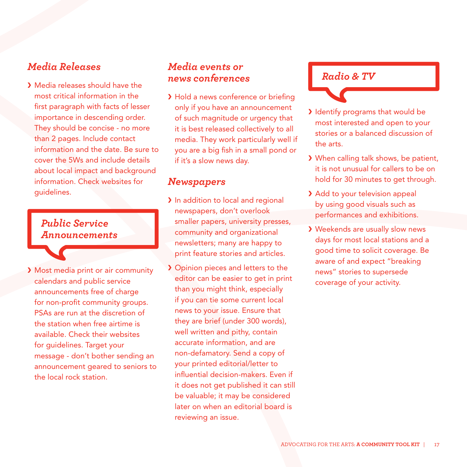#### *Media Releases*

> Media releases should have the most critical information in the first paragraph with facts of lesser importance in descending order. They should be concise - no more than 2 pages. Include contact information and the date. Be sure to cover the 5Ws and include details about local impact and background information. Check websites for guidelines.

#### *Public Service Announcements*

� Most media print or air community calendars and public service announcements free of charge for non-profit community groups. PSAs are run at the discretion of the station when free airtime is available. Check their websites for guidelines. Target your message - don't bother sending an announcement geared to seniors to the local rock station.

#### *Media events or news conferences*

> Hold a news conference or briefing only if you have an announcement of such magnitude or urgency that it is best released collectively to all media. They work particularly well if you are a big fish in a small pond or if it's a slow news day.

#### *Newspapers*

- > In addition to local and regional newspapers, don't overlook smaller papers, university presses, community and organizational newsletters; many are happy to print feature stories and articles.
- > Opinion pieces and letters to the editor can be easier to get in print than you might think, especially if you can tie some current local news to your issue. Ensure that they are brief (under 300 words), well written and pithy, contain accurate information, and are non-defamatory. Send a copy of your printed editorial/letter to influential decision-makers. Even if it does not get published it can still be valuable; it may be considered later on when an editorial board is reviewing an issue.

#### *Radio & TV*

- � Identify programs that would be most interested and open to your stories or a balanced discussion of the arts.
- � When calling talk shows, be patient, it is not unusual for callers to be on hold for 30 minutes to get through.
- > Add to your television appeal by using good visuals such as performances and exhibitions.
- > Weekends are usually slow news days for most local stations and a good time to solicit coverage. Be aware of and expect "breaking news" stories to supersede coverage of your activity.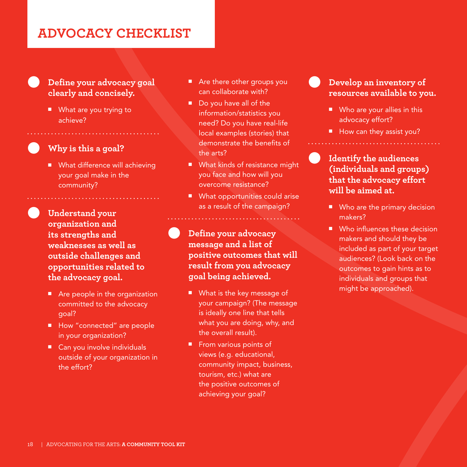#### **ADVOCACY CHECKLIST**

#### **Define your advocacy goal clearly and concisely.**

■ What are you trying to achieve?

#### ● **Why is this a goal?**

■ What difference will achieving your goal make in the community?

- **Understand your organization and its strengths and weaknesses as well as outside challenges and opportunities related to the advocacy goal.**
- Are people in the organization committed to the advocacy goal?
- How "connected" are people in your organization?
- Can you involve individuals outside of your organization in the effort?
- Are there other groups you can collaborate with?
- Do you have all of the information/statistics you need? Do you have real-life local examples (stories) that demonstrate the benefits of the arts?
- What kinds of resistance might you face and how will you overcome resistance?
- What opportunities could arise as a result of the campaign?
- **Define your advocacy message and a list of positive outcomes that will result from you advocacy goal being achieved.**

- What is the key message of your campaign? (The message is ideally one line that tells what you are doing, why, and the overall result).
- From various points of views (e.g. educational, community impact, business, tourism, etc.) what are the positive outcomes of achieving your goal?

#### ● **Develop an inventory of resources available to you.**

- Who are your allies in this advocacy effort?
- How can they assist you?

#### **C Identify the audiences (individuals and groups) that the advocacy effort will be aimed at.**

- Who are the primary decision makers?
- Who influences these decision makers and should they be included as part of your target audiences? (Look back on the outcomes to gain hints as to individuals and groups that might be approached).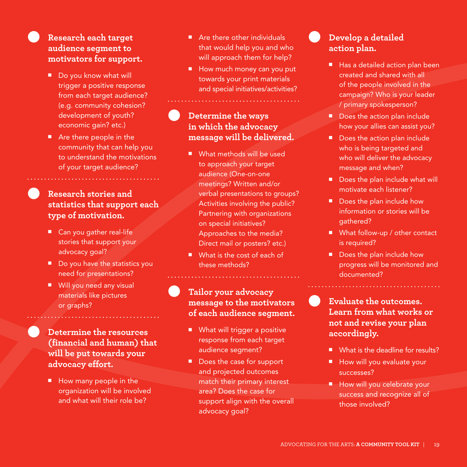#### ● **Research each target audience segment to motivators for support.**

- Do you know what will trigger a positive response from each target audience? (e.g. community cohesion? development of youth? economic gain? etc.)
- Are there people in the community that can help you to understand the motivations of your target audience?

#### ● **Research stories and statistics that support each type of motivation.**

- Can you gather real-life stories that support your advocacy goal?
- Do you have the statistics you need for presentations?
- Will you need any visual materials like pictures or graphs?

● **Determine the resources (financial and human) that will be put towards your advocacy effort.** 

■ How many people in the organization will be involved and what will their role be?

- Are there other individuals that would help you and who will approach them for help?
- How much money can you put towards your print materials and special initiatives/activities?

#### **Determine the ways in which the advocacy message will be delivered.**

- What methods will be used to approach your target audience (One-on-one meetings? Written and/or verbal presentations to groups? Activities involving the public? Partnering with organizations on special initiatives? Approaches to the media? Direct mail or posters? etc.)
- What is the cost of each of these methods?

#### ● **Tailor your advocacy message to the motivators of each audience segment.**

- What will trigger a positive response from each target audience segment?
- Does the case for support and projected outcomes match their primary interest area? Does the case for support align with the overall advocacy goal?

#### ● **Develop a detailed action plan.**

- Has a detailed action plan been created and shared with all of the people involved in the campaign? Who is your leader / primary spokesperson?
- Does the action plan include how your allies can assist you?
- Does the action plan include who is being targeted and who will deliver the advocacy message and when?
- Does the plan include what will motivate each listener?
- Does the plan include how information or stories will be gathered?
- What follow-up / other contact is required?
- Does the plan include how progress will be monitored and documented?

- **Evaluate the outcomes. Learn from what works or not and revise your plan accordingly.**
	- What is the deadline for results?
	- How will you evaluate your successes?
	- How will you celebrate your success and recognize all of those involved?